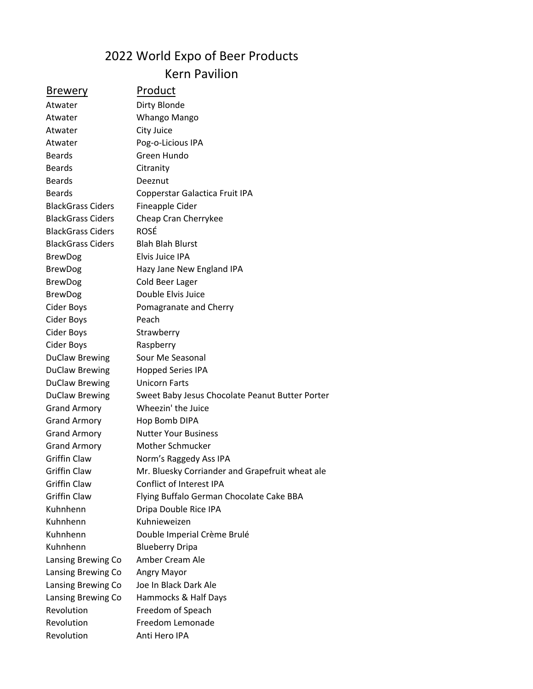## 2022 World Expo of Beer Products Kern Pavilion

## Brewery Product

Atwater Dirty Blonde Atwater Whango Mango Atwater City Juice Atwater Pog-o-Licious IPA Beards Green Hundo Beards Citranity Beards Deeznut Beards Copperstar Galactica Fruit IPA BlackGrass Ciders Fineapple Cider BlackGrass Ciders Cheap Cran Cherrykee BlackGrass Ciders ROSÉ BlackGrass Ciders Blah Blah Blurst BrewDog Elvis Juice IPA BrewDog Hazy Jane New England IPA BrewDog Cold Beer Lager BrewDog Double Elvis Juice Cider Boys Pomagranate and Cherry Cider Boys Peach Cider Boys Strawberry Cider Boys Raspberry DuClaw Brewing Sour Me Seasonal DuClaw Brewing Hopped Series IPA DuClaw Brewing Unicorn Farts DuClaw Brewing Sweet Baby Jesus Chocolate Peanut Butter Porter Grand Armory Wheezin' the Juice Grand Armory Hop Bomb DIPA Grand Armory Nutter Your Business Grand Armory Mother Schmucker Griffin Claw Norm's Raggedy Ass IPA Griffin Claw Mr. Bluesky Corriander and Grapefruit wheat ale Griffin Claw Conflict of Interest IPA Griffin Claw Flying Buffalo German Chocolate Cake BBA Kuhnhenn Dripa Double Rice IPA Kuhnhenn Kuhnieweizen Kuhnhenn Double Imperial Crème Brulé Kuhnhenn Blueberry Dripa Lansing Brewing Co Amber Cream Ale Lansing Brewing Co Angry Mayor Lansing Brewing Co Joe In Black Dark Ale Lansing Brewing Co Hammocks & Half Days Revolution Freedom of Speach Revolution Freedom Lemonade Revolution Anti Hero IPA